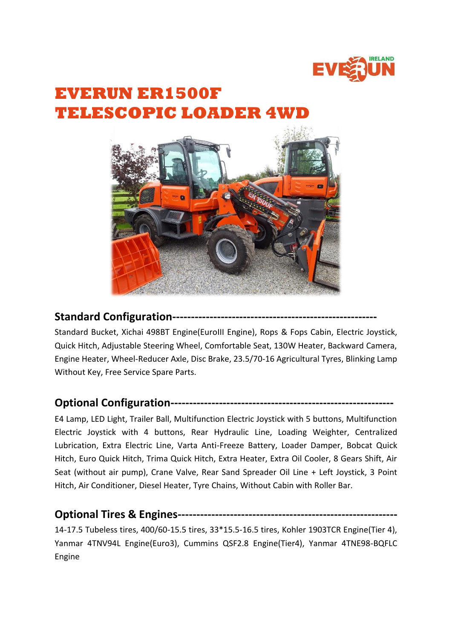

# **EVERUN ER1500F TELESCOPIC LOADER 4W**



#### **Standard Configuration--------**

Standard Bucket, Xichai 498BT Engine(EuroIII Engine), Rops & Fops Cabin, Electric Joystick, Quick Hitch, Adjustable Steering Wheel, Comfortable Seat, 130W Heater, Backward Camera, Engine Heater, Wheel-Reducer Axle, Disc Brake, 23.5/70-16 Agricultural Tyres, Blinking Lamp Without Key, Free Service Spare Parts.

### **Optional Configuration------------------------------------------------------------**

E4 Lamp, LED Light, Trailer Ball, Multifunction Electric Joystick with 5 buttons, Multifunction Electric Joystick with 4 buttons, Rear Hydraulic Line, Loading Weighter, Centralized Lubrication, Extra Electric Line, Varta Anti-Freeze Battery, Loader Damper, Bobcat Quick Hitch, Euro Quick Hitch, Trima Quick Hitch, Extra Heater, Extra Oil Cooler, 8 Gears Shift, Air Seat (without air pump), Crane Valve, Rear Sand Spreader Oil Line + Left Joystick, 3 Point Hitch, Air Conditioner, Diesel Heater, Tyre Chains, Without Cabin with Roller Bar.

# **Optional Tires & Engines-----------------------------------------------------------**

14-17.5 Tubeless tires, 400/60-15.5 tires, 33\*15.5-16.5 tires, Kohler 1903TCR Engine(Tier 4), Yanmar 4TNV94L Engine(Euro3), Cummins QSF2.8 Engine(Tier4), Yanmar 4TNE98-BQFLC Engine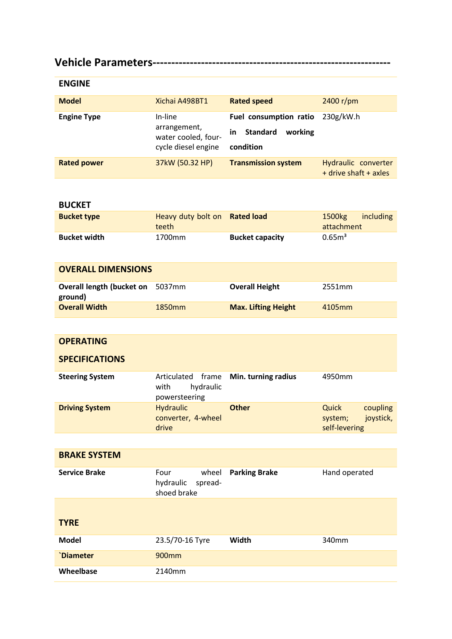# **Vehicle Parameters----------------------------------------------------------------**

| <b>ENGINE</b>      |                                                                       |                                                                         |                                              |
|--------------------|-----------------------------------------------------------------------|-------------------------------------------------------------------------|----------------------------------------------|
| <b>Model</b>       | Xichai A498BT1                                                        | <b>Rated speed</b>                                                      | 2400 r/pm                                    |
| <b>Engine Type</b> | In-line<br>arrangement,<br>water cooled, four-<br>cycle diesel engine | Fuel consumption ratio<br><b>Standard</b><br>working<br>in<br>condition | 230g/kW.h                                    |
| <b>Rated power</b> | 37kW (50.32 HP)                                                       | <b>Transmission system</b>                                              | Hydraulic converter<br>+ drive shaft + axles |

#### **BUCKET**

| <b>Bucket type</b>  | Heavy duty bolt on Rated load<br>teeth |                        | $1500$ $kg$<br>attachment | including |
|---------------------|----------------------------------------|------------------------|---------------------------|-----------|
| <b>Bucket width</b> | 1700mm                                 | <b>Bucket capacity</b> | 0.65 <sup>3</sup>         |           |

| <b>OVERALL DIMENSIONS</b>                   |                    |                            |        |
|---------------------------------------------|--------------------|----------------------------|--------|
| Overall length (bucket on 5037mm<br>ground) |                    | <b>Overall Height</b>      | 2551mm |
| <b>Overall Width</b>                        | 1850 <sub>mm</sub> | <b>Max. Lifting Height</b> | 4105mm |

| <b>OPERATING</b>       |                                                            |                      |                                                            |
|------------------------|------------------------------------------------------------|----------------------|------------------------------------------------------------|
| <b>SPECIFICATIONS</b>  |                                                            |                      |                                                            |
| <b>Steering System</b> | Articulated<br>frame<br>hydraulic<br>with<br>powersteering | Min. turning radius  | 4950mm                                                     |
| <b>Driving System</b>  | <b>Hydraulic</b><br>converter, 4-wheel<br>drive            | <b>Other</b>         | Quick<br>coupling<br>joystick,<br>system;<br>self-levering |
|                        |                                                            |                      |                                                            |
| <b>BRAKE SYSTEM</b>    |                                                            |                      |                                                            |
| <b>Service Brake</b>   | Four<br>wheel<br>hydraulic<br>spread-<br>shoed brake       | <b>Parking Brake</b> | Hand operated                                              |
| <b>TYRE</b>            |                                                            |                      |                                                            |
| <b>Model</b>           | 23.5/70-16 Tyre                                            | Width                | 340mm                                                      |
| <b>Diameter</b>        | 900mm                                                      |                      |                                                            |
| Wheelbase              | 2140mm                                                     |                      |                                                            |